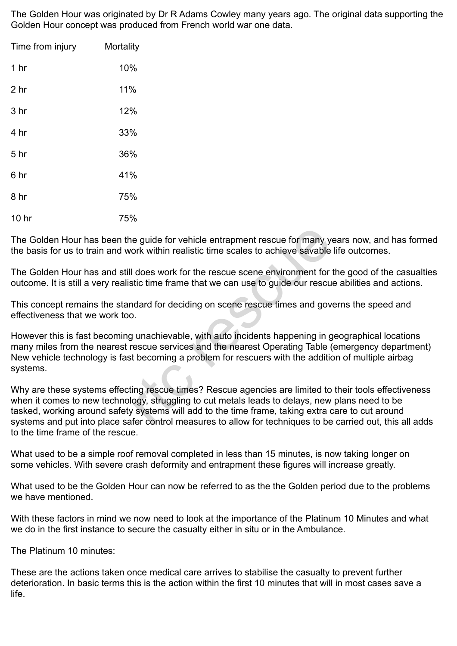The Golden Hour was originated by Dr R Adams Cowley many years ago. The original data supporting the Golden Hour concept was produced from French world war one data.

| Time from injury | Mortality |
|------------------|-----------|
| 1 <sub>hr</sub>  | 10%       |
| 2 <sub>hr</sub>  | 11%       |
| 3 hr             | 12%       |
| 4 hr             | 33%       |
| 5 <sub>hr</sub>  | 36%       |
| 6 hr             | 41%       |
| 8 hr             | 75%       |
| 10 <sub>hr</sub> | 75%       |

The Golden Hour has been the guide for vehicle entrapment rescue for many years now, and has formed the basis for us to train and work within realistic time scales to achieve savable life outcomes.

The Golden Hour has and still does work for the rescue scene environment for the good of the casualties outcome. It is still a very realistic time frame that we can use to guide our rescue abilities and actions.

This concept remains the standard for deciding on scene rescue times and governs the speed and effectiveness that we work too.

However this is fast becoming unachievable, with auto incidents happening in geographical locations many miles from the nearest rescue services and the nearest Operating Table (emergency department) New vehicle technology is fast becoming a problem for rescuers with the addition of multiple airbag systems. is guide for vehicle entrapment rescue for many y<br>ork within realistic time scales to achieve savable<br>I does work for the rescue scene environment for<br>stic time frame that we can use to guide our rescu<br>oldard for deciding

Why are these systems effecting rescue times? Rescue agencies are limited to their tools effectiveness when it comes to new technology, struggling to cut metals leads to delays, new plans need to be tasked, working around safety systems will add to the time frame, taking extra care to cut around systems and put into place safer control measures to allow for techniques to be carried out, this all adds to the time frame of the rescue.

What used to be a simple roof removal completed in less than 15 minutes, is now taking longer on some vehicles. With severe crash deformity and entrapment these figures will increase greatly.

What used to be the Golden Hour can now be referred to as the the Golden period due to the problems we have mentioned.

With these factors in mind we now need to look at the importance of the Platinum 10 Minutes and what we do in the first instance to secure the casualty either in situ or in the Ambulance.

The Platinum 10 minutes:

These are the actions taken once medical care arrives to stabilise the casualty to prevent further deterioration. In basic terms this is the action within the first 10 minutes that will in most cases save a life.